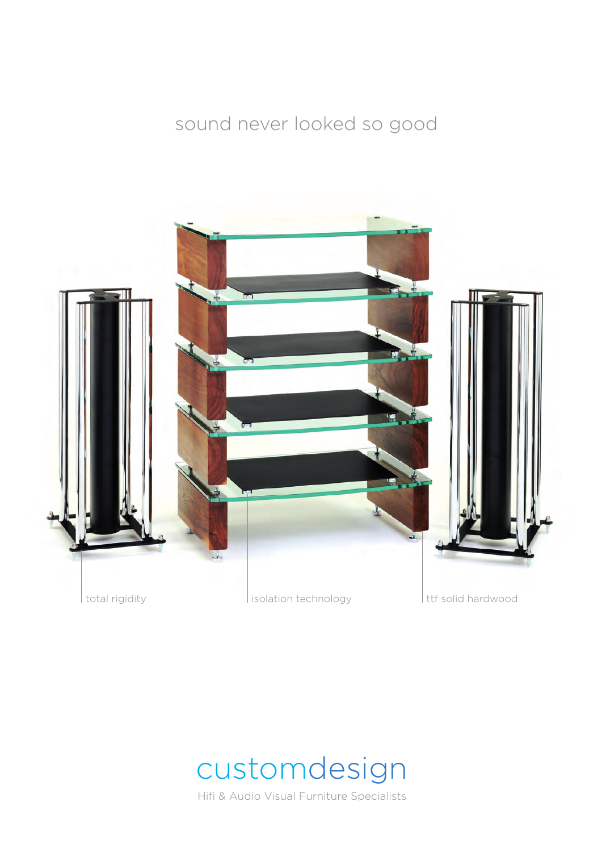### sound never looked so good





Hifi & Audio Visual Furniture Specialists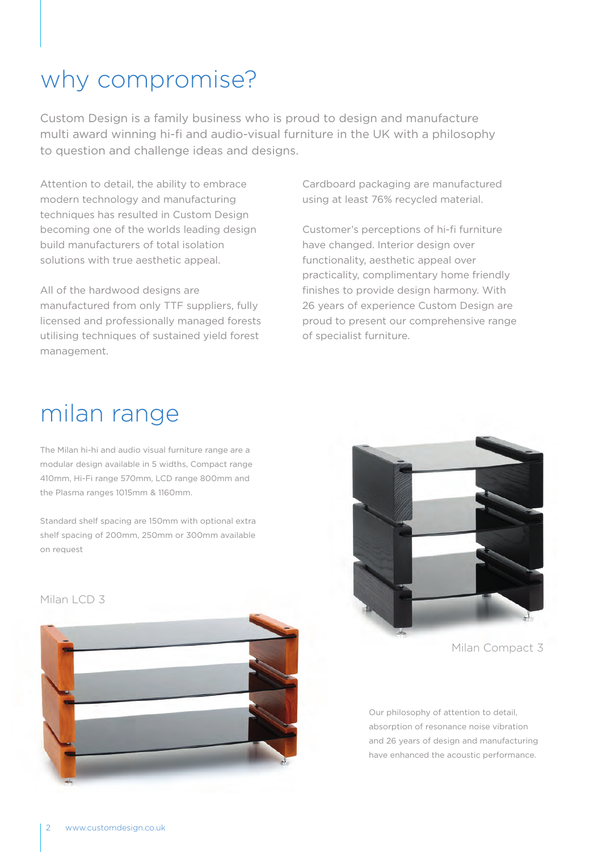## why compromise?

Custom Design is a family business who is proud to design and manufacture multi award winning hi-fi and audio-visual furniture in the UK with a philosophy to question and challenge ideas and designs.

Attention to detail, the ability to embrace modern technology and manufacturing techniques has resulted in Custom Design becoming one of the worlds leading design build manufacturers of total isolation solutions with true aesthetic appeal.

All of the hardwood designs are manufactured from only TTF suppliers, fully licensed and professionally managed forests utilising techniques of sustained yield forest management.

Cardboard packaging are manufactured using at least 76% recycled material.

Customer's perceptions of hi-fi furniture have changed. Interior design over functionality, aesthetic appeal over practicality, complimentary home friendly finishes to provide design harmony. With 26 years of experience Custom Design are proud to present our comprehensive range of specialist furniture.

## milan range

The Milan hi-hi and audio visual furniture range are a modular design available in 5 widths, Compact range 410mm, Hi-Fi range 570mm, LCD range 800mm and the Plasma ranges 1015mm & 1160mm.

Standard shelf spacing are 150mm with optional extra shelf spacing of 200mm, 250mm or 300mm available on request



Milan Compact 3

Our philosophy of attention to detail, absorption of resonance noise vibration and 26 years of design and manufacturing have enhanced the acoustic performance.

Milan LCD 3

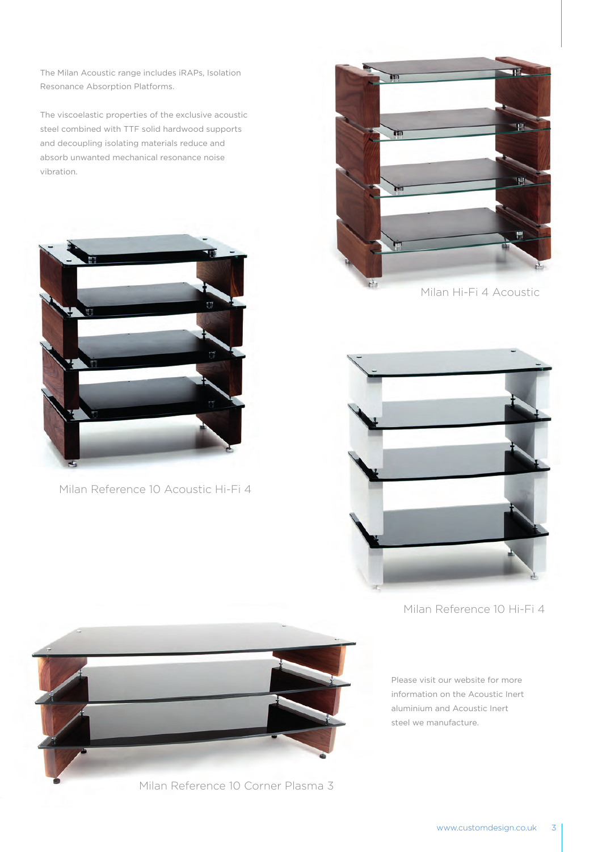The Milan Acoustic range includes iRAPs, Isolation Resonance Absorption Platforms.

The viscoelastic properties of the exclusive acoustic steel combined with TTF solid hardwood supports and decoupling isolating materials reduce and absorb unwanted mechanical resonance noise vibration.



Milan Reference 10 Acoustic Hi-Fi 4



Milan Hi-Fi 4 Acoustic



Milan Reference 10 Hi-Fi 4

Please visit our website for more information on the Acoustic Inert aluminium and Acoustic Inert steel we manufacture.



Milan Reference 10 Corner Plasma 3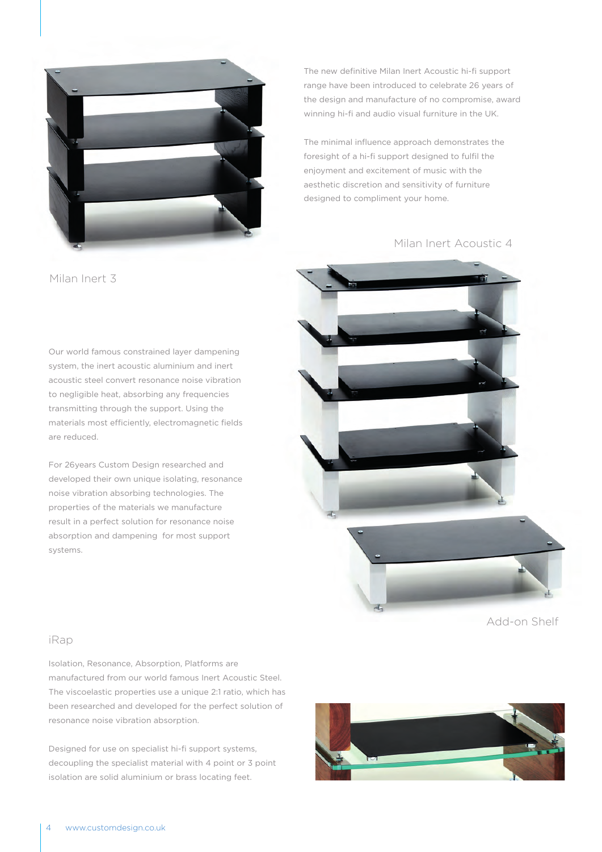

Milan Inert 3

Our world famous constrained layer dampening system, the inert acoustic aluminium and inert acoustic steel convert resonance noise vibration to negligible heat, absorbing any frequencies transmitting through the support. Using the materials most efficiently, electromagnetic fields are reduced.

For 26years Custom Design researched and developed their own unique isolating, resonance noise vibration absorbing technologies. The properties of the materials we manufacture result in a perfect solution for resonance noise absorption and dampening for most support systems.

The new definitive Milan Inert Acoustic hi-fi support range have been introduced to celebrate 26 years of the design and manufacture of no compromise, award winning hi-fi and audio visual furniture in the UK.

The minimal influence approach demonstrates the foresight of a hi-fi support designed to fulfil the enjoyment and excitement of music with the aesthetic discretion and sensitivity of furniture designed to compliment your home.

Milan Inert Acoustic 4



Add-on Shelf

#### iRap

Isolation, Resonance, Absorption, Platforms are manufactured from our world famous Inert Acoustic Steel. The viscoelastic properties use a unique 2:1 ratio, which has been researched and developed for the perfect solution of resonance noise vibration absorption.

Designed for use on specialist hi-fi support systems, decoupling the specialist material with 4 point or 3 point isolation are solid aluminium or brass locating feet.

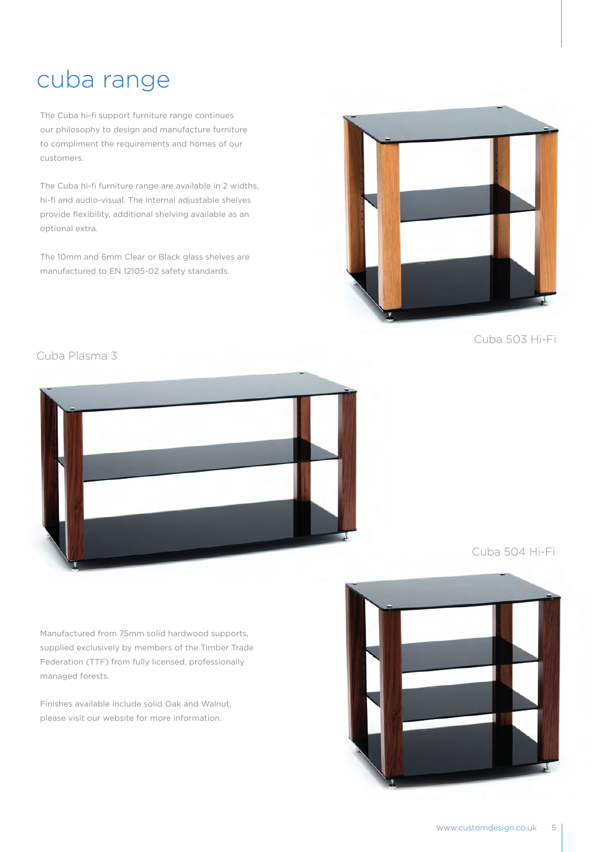### cuba range

The Cuba hi-fi support furniture range continues our philosophy to design and manufacture furniture to compliment the requirements and homes of our customers.

The Cuba hi-fi furniture range are available in 2 widths, hi-fi and audio-visual. The internal adjustable shelves provide flexibility, additional shelving available as an optional extra.

The 10mm and 6mm Clear or Black glass shelves are manufactured to EN 12105-02 safety standards.



Cuba 503 Hi-Fi

Cuba Plasma 3



Cuba 504 Hi-Fi

Manufactured from 75mm solid hardwood supports, supplied exclusively by members of the Timber Trade Federation (TTF) from fully licensed, professionally managed forests.

Finishes available include solid Oak and Walnut, please visit our website for more information.

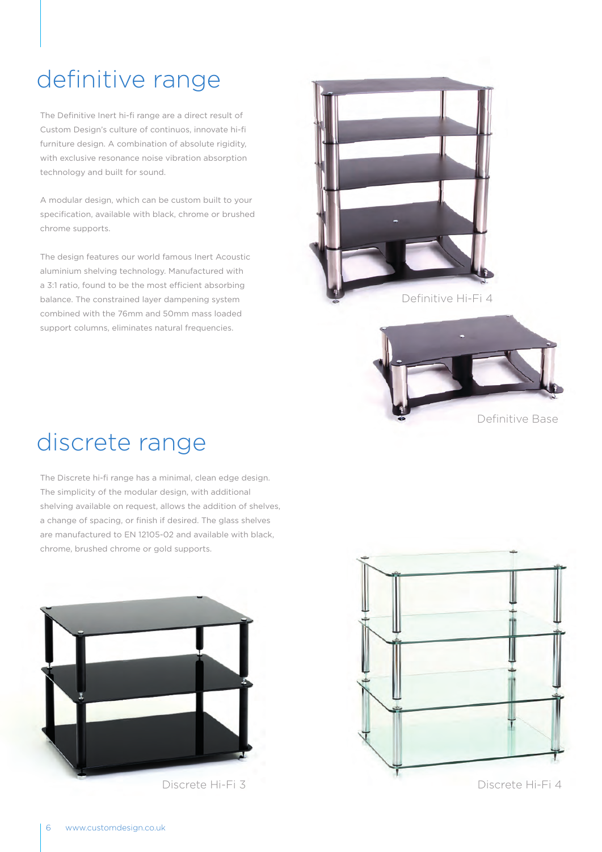# definitive range

The Definitive Inert hi-fi range are a direct result of Custom Design's culture of continuos, innovate hi-fi furniture design. A combination of absolute rigidity, with exclusive resonance noise vibration absorption technology and built for sound.

A modular design, which can be custom built to your specification, available with black, chrome or brushed chrome supports.

The design features our world famous Inert Acoustic aluminium shelving technology. Manufactured with a 3:1 ratio, found to be the most efficient absorbing balance. The constrained layer dampening system combined with the 76mm and 50mm mass loaded support columns, eliminates natural frequencies.







# discrete range

The Discrete hi-fi range has a minimal, clean edge design. The simplicity of the modular design, with additional shelving available on request, allows the addition of shelves, a change of spacing, or finish if desired. The glass shelves are manufactured to EN 12105-02 and available with black, chrome, brushed chrome or gold supports.



Discrete Hi-Fi 3 Discrete Hi-Fi 4

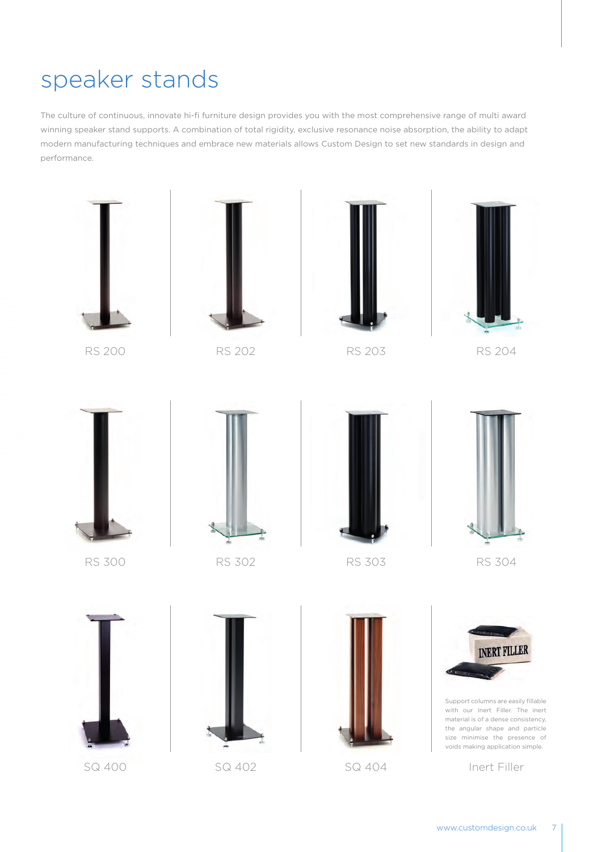## speaker stands

The culture of continuous, innovate hi-fi furniture design provides you with the most comprehensive range of multi award winning speaker stand supports. A combination of total rigidity, exclusive resonance noise absorption, the ability to adapt modern manufacturing techniques and embrace new materials allows Custom Design to set new standards in design and performance.







RS 200 RS 202 RS 203 RS 204











RS 300 RS 302 RS 303 RS 304









Support columns are easily fillable with our Inert Filler. The inert material is of a dense consistency, the angular shape and particle size minimise the presence of voids making application simple.

SQ 400 SQ 402 SQ 404 Inert Filler